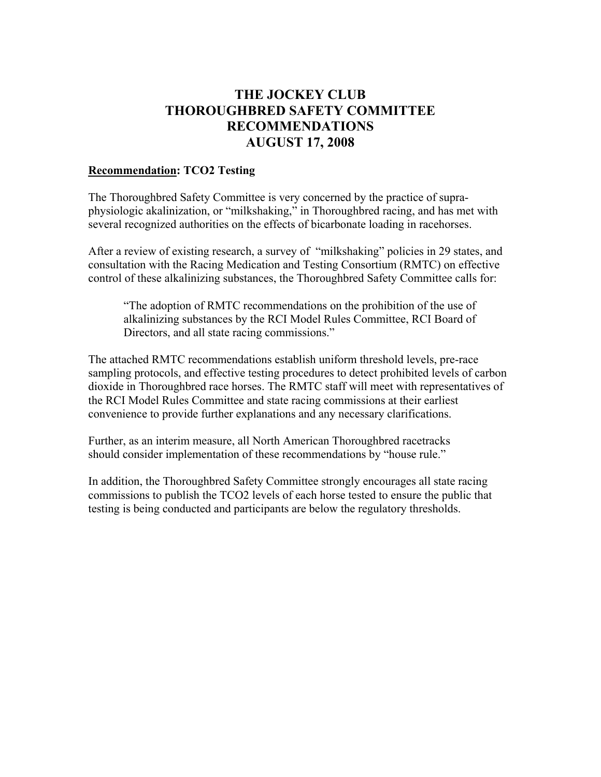## **THE JOCKEY CLUB THOROUGHBRED SAFETY COMMITTEE RECOMMENDATIONS AUGUST 17, 2008**

#### **Recommendation: TCO2 Testing**

The Thoroughbred Safety Committee is very concerned by the practice of supraphysiologic akalinization, or "milkshaking," in Thoroughbred racing, and has met with several recognized authorities on the effects of bicarbonate loading in racehorses.

After a review of existing research, a survey of "milkshaking" policies in 29 states, and consultation with the Racing Medication and Testing Consortium (RMTC) on effective control of these alkalinizing substances, the Thoroughbred Safety Committee calls for:

"The adoption of RMTC recommendations on the prohibition of the use of alkalinizing substances by the RCI Model Rules Committee, RCI Board of Directors, and all state racing commissions."

The attached RMTC recommendations establish uniform threshold levels, pre-race sampling protocols, and effective testing procedures to detect prohibited levels of carbon dioxide in Thoroughbred race horses. The RMTC staff will meet with representatives of the RCI Model Rules Committee and state racing commissions at their earliest convenience to provide further explanations and any necessary clarifications.

Further, as an interim measure, all North American Thoroughbred racetracks should consider implementation of these recommendations by "house rule."

In addition, the Thoroughbred Safety Committee strongly encourages all state racing commissions to publish the TCO2 levels of each horse tested to ensure the public that testing is being conducted and participants are below the regulatory thresholds.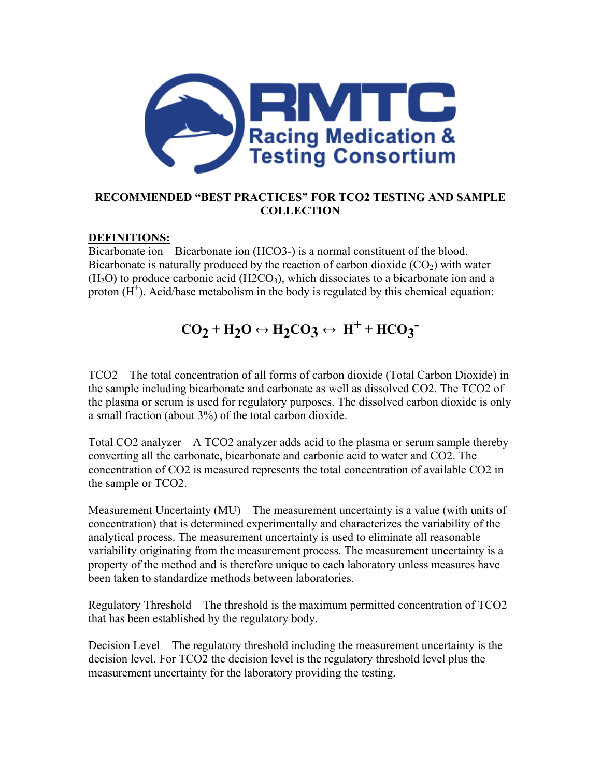

### **RECOMMENDED "BEST PRACTICES" FOR TCO2 TESTING AND SAMPLE COLLECTION**

### **DEFINITIONS:**

Bicarbonate ion – Bicarbonate ion (HCO3-) is a normal constituent of the blood. Bicarbonate is naturally produced by the reaction of carbon dioxide  $(CO<sub>2</sub>)$  with water  $(H<sub>2</sub>O)$  to produce carbonic acid  $(H2CO<sub>3</sub>)$ , which dissociates to a bicarbonate ion and a proton  $(H^+)$ . Acid/base metabolism in the body is regulated by this chemical equation:

# $CO_2 + H_2O \leftrightarrow H_2CO_3 \leftrightarrow H^+ + HCO_3^-$

TCO2 – The total concentration of all forms of carbon dioxide (Total Carbon Dioxide) in the sample including bicarbonate and carbonate as well as dissolved CO2. The TCO2 of the plasma or serum is used for regulatory purposes. The dissolved carbon dioxide is only a small fraction (about 3%) of the total carbon dioxide.

Total CO2 analyzer – A TCO2 analyzer adds acid to the plasma or serum sample thereby converting all the carbonate, bicarbonate and carbonic acid to water and CO2. The concentration of CO2 is measured represents the total concentration of available CO2 in the sample or TCO2.

Measurement Uncertainty (MU) – The measurement uncertainty is a value (with units of concentration) that is determined experimentally and characterizes the variability of the analytical process. The measurement uncertainty is used to eliminate all reasonable variability originating from the measurement process. The measurement uncertainty is a property of the method and is therefore unique to each laboratory unless measures have been taken to standardize methods between laboratories.

Regulatory Threshold – The threshold is the maximum permitted concentration of TCO2 that has been established by the regulatory body.

Decision Level – The regulatory threshold including the measurement uncertainty is the decision level. For TCO2 the decision level is the regulatory threshold level plus the measurement uncertainty for the laboratory providing the testing.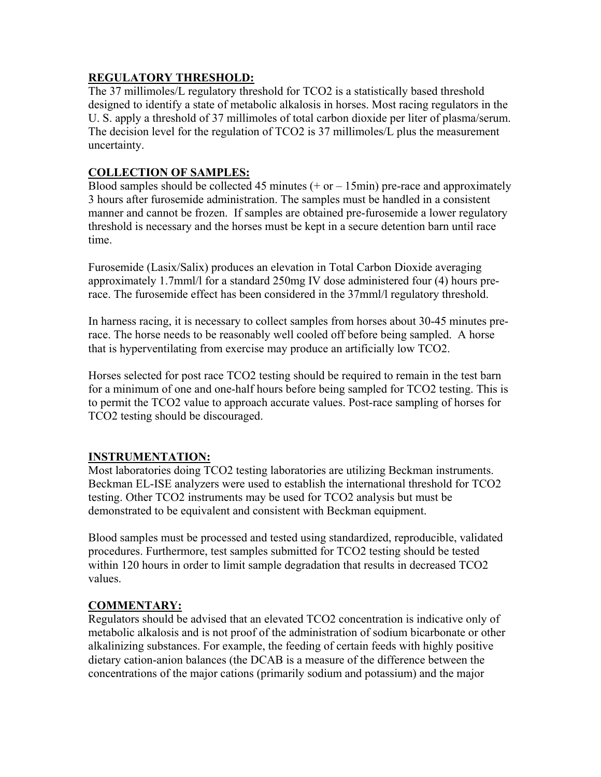### **REGULATORY THRESHOLD:**

The 37 millimoles/L regulatory threshold for TCO2 is a statistically based threshold designed to identify a state of metabolic alkalosis in horses. Most racing regulators in the U. S. apply a threshold of 37 millimoles of total carbon dioxide per liter of plasma/serum. The decision level for the regulation of TCO2 is 37 millimoles/L plus the measurement uncertainty.

### **COLLECTION OF SAMPLES:**

Blood samples should be collected 45 minutes  $(+ or - 15min)$  pre-race and approximately 3 hours after furosemide administration. The samples must be handled in a consistent manner and cannot be frozen. If samples are obtained pre-furosemide a lower regulatory threshold is necessary and the horses must be kept in a secure detention barn until race time.

Furosemide (Lasix/Salix) produces an elevation in Total Carbon Dioxide averaging approximately 1.7mml/l for a standard 250mg IV dose administered four (4) hours prerace. The furosemide effect has been considered in the 37mml/l regulatory threshold.

In harness racing, it is necessary to collect samples from horses about 30-45 minutes prerace. The horse needs to be reasonably well cooled off before being sampled. A horse that is hyperventilating from exercise may produce an artificially low TCO2.

Horses selected for post race TCO2 testing should be required to remain in the test barn for a minimum of one and one-half hours before being sampled for TCO2 testing. This is to permit the TCO2 value to approach accurate values. Post-race sampling of horses for TCO2 testing should be discouraged.

### **INSTRUMENTATION:**

Most laboratories doing TCO2 testing laboratories are utilizing Beckman instruments. Beckman EL-ISE analyzers were used to establish the international threshold for TCO2 testing. Other TCO2 instruments may be used for TCO2 analysis but must be demonstrated to be equivalent and consistent with Beckman equipment.

Blood samples must be processed and tested using standardized, reproducible, validated procedures. Furthermore, test samples submitted for TCO2 testing should be tested within 120 hours in order to limit sample degradation that results in decreased TCO2 values.

### **COMMENTARY:**

Regulators should be advised that an elevated TCO2 concentration is indicative only of metabolic alkalosis and is not proof of the administration of sodium bicarbonate or other alkalinizing substances. For example, the feeding of certain feeds with highly positive dietary cation-anion balances (the DCAB is a measure of the difference between the concentrations of the major cations (primarily sodium and potassium) and the major